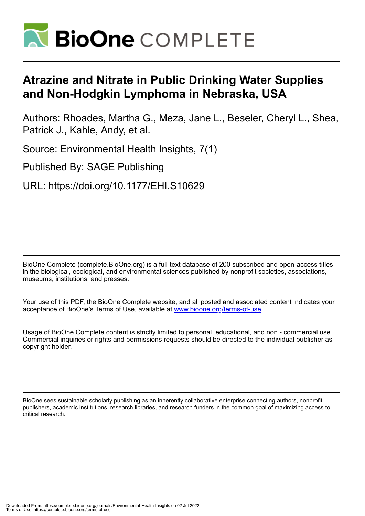

# **Atrazine and Nitrate in Public Drinking Water Supplies and Non-Hodgkin Lymphoma in Nebraska, USA**

Authors: Rhoades, Martha G., Meza, Jane L., Beseler, Cheryl L., Shea, Patrick J., Kahle, Andy, et al.

Source: Environmental Health Insights, 7(1)

Published By: SAGE Publishing

URL: https://doi.org/10.1177/EHI.S10629

BioOne Complete (complete.BioOne.org) is a full-text database of 200 subscribed and open-access titles in the biological, ecological, and environmental sciences published by nonprofit societies, associations, museums, institutions, and presses.

Your use of this PDF, the BioOne Complete website, and all posted and associated content indicates your acceptance of BioOne's Terms of Use, available at www.bioone.org/terms-of-use.

Usage of BioOne Complete content is strictly limited to personal, educational, and non - commercial use. Commercial inquiries or rights and permissions requests should be directed to the individual publisher as copyright holder.

BioOne sees sustainable scholarly publishing as an inherently collaborative enterprise connecting authors, nonprofit publishers, academic institutions, research libraries, and research funders in the common goal of maximizing access to critical research.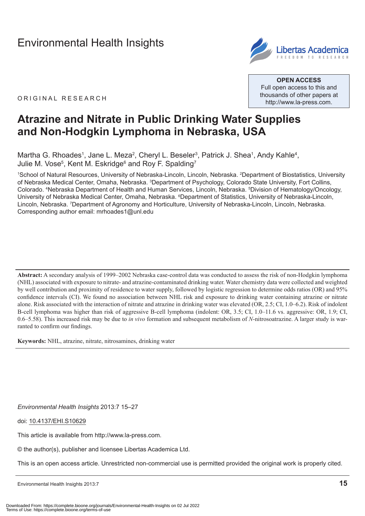## [Environmental Health Insights](http://www.la-press.com/environmental-health-insights-journal-j110)



**Open Access** Full open access to this and thousands of other papers at <http://www.la-press.com>.

ORIGINAL RESEARCH

## **Atrazine and nitrate in public Drinking Water supplies and non-Hodgkin Lymphoma in nebraska, UsA**

Martha G. Rhoades<sup>1</sup>, Jane L. Meza<sup>2</sup>, Cheryl L. Beseler<sup>3</sup>, Patrick J. Shea<sup>1</sup>, Andy Kahle<sup>4</sup>, Julie M. Vose<sup>5</sup>, Kent M. Eskridge<sup>6</sup> and Roy F. Spalding<sup>7</sup>

<sup>1</sup>School of Natural Resources, University of Nebraska-Lincoln, Lincoln, Nebraska. <sup>2</sup>Department of Biostatistics, University of Nebraska Medical Center, Omaha, Nebraska. <sup>3</sup>Department of Psychology, Colorado State University, Fort Collins, Colorado. <sup>4</sup>Nebraska Department of Health and Human Services, Lincoln, Nebraska. <sup>5</sup>Division of Hematology/Oncology, University of Nebraska Medical Center, Omaha, Nebraska. <sup>6</sup>Department of Statistics, University of Nebraska-Lincoln, Lincoln, Nebraska. <sup>7</sup>Department of Agronomy and Horticulture, University of Nebraska-Lincoln, Lincoln, Nebraska. corresponding author email: [mrhoades1@unl.edu](mailto:mrhoades1@unl.edu)

**Abstract:** A secondary analysis of 1999–2002 Nebraska case-control data was conducted to assess the risk of non-Hodgkin lymphoma (NHL) associated with exposure to nitrate- and atrazine-contaminated drinking water. Water chemistry data were collected and weighted by well contribution and proximity of residence to water supply, followed by logistic regression to determine odds ratios (OR) and 95% confidence intervals (CI). We found no association between NHL risk and exposure to drinking water containing atrazine or nitrate alone. Risk associated with the interaction of nitrate and atrazine in drinking water was elevated (OR, 2.5; CI, 1.0–6.2). Risk of indolent B-cell lymphoma was higher than risk of aggressive B-cell lymphoma (indolent: OR, 3.5; CI, 1.0–11.6 vs. aggressive: OR, 1.9; CI, 0.6–5.58). This increased risk may be due to *in vivo* formation and subsequent metabolism of *N*-nitrosoatrazine. A larger study is warranted to confirm our findings.

**Keywords:** NHL, atrazine, nitrate, nitrosamines, drinking water

*Environmental Health Insights* 2013:7 15–27

doi: [10.4137/EHI.S10629](http://dx.doi.org/10.4137/EHI.S10629)

This article is available from [http://www.la-press.com.](http://www.la-press.com)

© the author(s), publisher and licensee Libertas Academica Ltd.

This is an open access article. Unrestricted non-commercial use is permitted provided the original work is properly cited.

Environmental Health Insights 2013:<sup>7</sup> **15**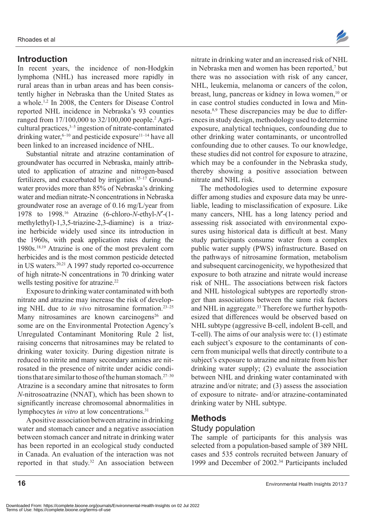## **Introduction**

In recent years, the incidence of non-Hodgkin lymphoma (NHL) has increased more rapidly in rural areas than in urban areas and has been consistently higher in Nebraska than the United States as a whole.1,2 In 2008, the Centers for Disease Control reported NHL incidence in Nebraska's 93 counties ranged from 17/100,000 to 32/100,000 people.<sup>2</sup> Agricultural practices, $3-5$  ingestion of nitrate-contaminated drinking water,  $6-10$  and pesticide exposure<sup>11-14</sup> have all been linked to an increased incidence of NHL.

Substantial nitrate and atrazine contamination of groundwater has occurred in Nebraska, mainly attributed to application of atrazine and nitrogen-based fertilizers, and exacerbated by irrigation.<sup>15–17</sup> Groundwater provides more than 85% of Nebraska's drinking water and median nitrate-N concentrations in Nebraska groundwater rose an average of 0.16 mg/L/year from 1978 to 1998.16 Atrazine (6-chloro-*N*-ethyl-*N*′-(1 methylethyl)-1,3,5-triazine-2,3-diamine) is a triazine herbicide widely used since its introduction in the 1960s, with peak application rates during the 1980s.18,19 Atrazine is one of the most prevalent corn herbicides and is the most common pesticide detected in US waters.20,21 A 1997 study reported co-occurrence of high nitrate-N concentrations in 70 drinking water wells testing positive for atrazine.<sup>22</sup>

Exposure to drinking water contaminated with both nitrate and atrazine may increase the risk of developing NHL due to *in vivo* nitrosamine formation.23–25 Many nitrosamines are known carcinogens<sup>26</sup> and some are on the Environmental Protection Agency's Unregulated Contaminant Monitoring Rule 2 list, raising concerns that nitrosamines may be related to drinking water toxicity. During digestion nitrate is reduced to nitrite and many secondary amines are nitrosated in the presence of nitrite under acidic conditions that are similar to those of the human stomach.<sup>27–30</sup> Atrazine is a secondary amine that nitrosates to form *N*-nitrosoatrazine (NNAT), which has been shown to significantly increase chromosomal abnormalities in lymphocytes *in vitro* at low concentrations.<sup>31</sup>

A positive association between atrazine in drinking water and stomach cancer and a negative association between stomach cancer and nitrate in drinking water has been reported in an ecological study conducted in Canada. An evaluation of the interaction was not reported in that study.<sup>32</sup> An association between



nitrate in drinking water and an increased risk of NHL in Nebraska men and women has been reported,<sup>7</sup> but there was no association with risk of any cancer, NHL, leukemia, melanoma or cancers of the colon, breast, lung, pancreas or kidney in Iowa women,<sup>10</sup> or in case control studies conducted in Iowa and Minnesota.8,9 These discrepancies may be due to differences in study design, methodology used to determine exposure, analytical techniques, confounding due to other drinking water contaminants, or uncontrolled confounding due to other causes. To our knowledge, these studies did not control for exposure to atrazine, which may be a confounder in the Nebraska study, thereby showing a positive association between nitrate and NHL risk.

The methodologies used to determine exposure differ among studies and exposure data may be unreliable, leading to misclassification of exposure. Like many cancers, NHL has a long latency period and assessing risk associated with environmental exposures using historical data is difficult at best. Many study participants consume water from a complex public water supply (PWS) infrastructure. Based on the pathways of nitrosamine formation, metabolism and subsequent carcinogenicity, we hypothesized that exposure to both atrazine and nitrate would increase risk of NHL. The associations between risk factors and NHL histological subtypes are reportedly stronger than associations between the same risk factors and NHL in aggregate.<sup>33</sup> Therefore we further hypothesized that differences would be observed based on NHL subtype (aggressive B-cell, indolent B-cell, and T-cell). The aims of our analysis were to: (1) estimate each subject's exposure to the contaminants of concern from municipal wells that directly contribute to a subject's exposure to atrazine and nitrate from his/her drinking water supply; (2) evaluate the association between NHL and drinking water contaminated with atrazine and/or nitrate; and (3) assess the association of exposure to nitrate- and/or atrazine-contaminated drinking water by NHL subtype.

## **Methods**

### Study population

The sample of participants for this analysis was selected from a population-based sample of 389 NHL cases and 535 controls recruited between January of 1999 and December of 2002.<sup>34</sup> Participants included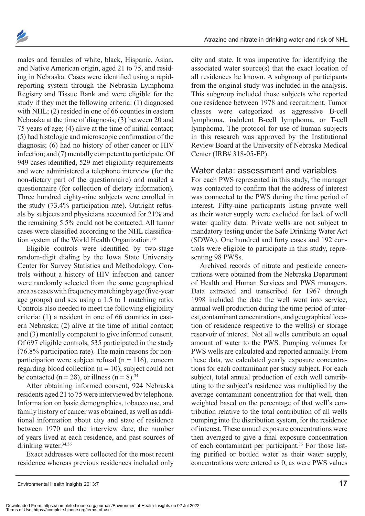

males and females of white, black, Hispanic, Asian, and Native American origin, aged 21 to 75, and residing in Nebraska. Cases were identified using a rapidreporting system through the Nebraska Lymphoma Registry and Tissue Bank and were eligible for the study if they met the following criteria: (1) diagnosed with NHL; (2) resided in one of 66 counties in eastern Nebraska at the time of diagnosis; (3) between 20 and 75 years of age; (4) alive at the time of initial contact; (5) had histologic and microscopic confirmation of the diagnosis; (6) had no history of other cancer or HIV infection; and (7) mentally competent to participate. Of 949 cases identified, 529 met eligibility requirements and were administered a telephone interview (for the non-dietary part of the questionnaire) and mailed a questionnaire (for collection of dietary information). Three hundred eighty-nine subjects were enrolled in the study (73.4% participation rate). Outright refusals by subjects and physicians accounted for 21% and the remaining 5.5% could not be contacted. All tumor cases were classified according to the NHL classification system of the World Health Organization.<sup>35</sup>

Eligible controls were identified by two-stage random-digit dialing by the Iowa State University Center for Survey Statistics and Methodology. Controls without a history of HIV infection and cancer were randomly selected from the same geographical area as cases with frequency matching by age (five-year age groups) and sex using a 1.5 to 1 matching ratio. Controls also needed to meet the following eligibility criteria: (1) a resident in one of 66 counties in eastern Nebraska; (2) alive at the time of initial contact; and (3) mentally competent to give informed consent. Of 697 eligible controls, 535 participated in the study (76.8% participation rate). The main reasons for nonparticipation were subject refusal  $(n = 116)$ , concern regarding blood collection  $(n = 10)$ , subject could not be contacted (n = 28), or illness (n = 8).<sup>34</sup>

After obtaining informed consent, 924 Nebraska residents aged 21 to 75 were interviewed by telephone. Information on basic demographics, tobacco use, and family history of cancer was obtained, as well as additional information about city and state of residence between 1970 and the interview date, the number of years lived at each residence, and past sources of drinking water.34,36

Exact addresses were collected for the most recent residence whereas previous residences included only

city and state. It was imperative for identifying the associated water source(s) that the exact location of all residences be known. A subgroup of participants from the original study was included in the analysis. This subgroup included those subjects who reported one residence between 1978 and recruitment. Tumor classes were categorized as aggressive B-cell lymphoma, indolent B-cell lymphoma, or T-cell lymphoma. The protocol for use of human subjects in this research was approved by the Institutional Review Board at the University of Nebraska Medical Center (IRB# 318-05-EP).

#### Water data: assessment and variables

For each PWS represented in this study, the manager was contacted to confirm that the address of interest was connected to the PWS during the time period of interest. Fifty-nine participants listing private well as their water supply were excluded for lack of well water quality data. Private wells are not subject to mandatory testing under the Safe Drinking Water Act (SDWA). One hundred and forty cases and 192 controls were eligible to participate in this study, representing 98 PWSs.

Archived records of nitrate and pesticide concentrations were obtained from the Nebraska Department of Health and Human Services and PWS managers. Data extracted and transcribed for 1967 through 1998 included the date the well went into service, annual well production during the time period of interest, contaminant concentrations, and geographical location of residence respective to the well(s) or storage reservoir of interest. Not all wells contribute an equal amount of water to the PWS. Pumping volumes for PWS wells are calculated and reported annually. From these data, we calculated yearly exposure concentrations for each contaminant per study subject. For each subject, total annual production of each well contributing to the subject's residence was multiplied by the average contaminant concentration for that well, then weighted based on the percentage of that well's contribution relative to the total contribution of all wells pumping into the distribution system, for the residence of interest. These annual exposure concentrations were then averaged to give a final exposure concentration of each contaminant per participant.<sup>36</sup> For those listing purified or bottled water as their water supply, concentrations were entered as 0, as were PWS values

Downloaded From: https://complete.bioone.org/journals/Environmental-Health-Insights on 02 Jul 2022 Terms of Use: https://complete.bioone.org/terms-of-use

Environmental Health Insights 2013:<sup>7</sup> **17**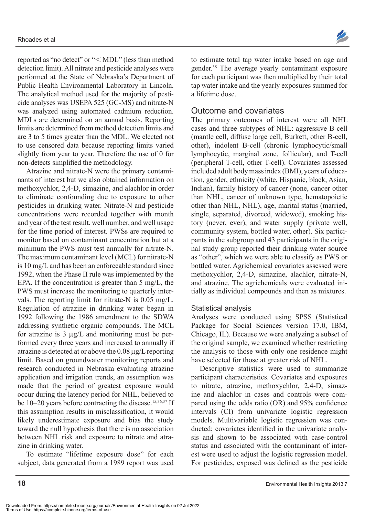reported as "no detect" or "< MDL" (less than method detection limit). All nitrate and pesticide analyses were performed at the State of Nebraska's Department of Public Health Environmental Laboratory in Lincoln. The analytical method used for the majority of pesticide analyses was USEPA 525 (GC-MS) and nitrate-N was analyzed using automated cadmium reduction. MDLs are determined on an annual basis. Reporting limits are determined from method detection limits and are 3 to 5 times greater than the MDL. We elected not to use censored data because reporting limits varied slightly from year to year. Therefore the use of 0 for non-detects simplified the methodology.

Atrazine and nitrate-N were the primary contaminants of interest but we also obtained information on methoxychlor, 2,4-D, simazine, and alachlor in order to eliminate confounding due to exposure to other pesticides in drinking water. Nitrate-N and pesticide concentrations were recorded together with month and year of the test result, well number, and well usage for the time period of interest. PWSs are required to monitor based on contaminant concentration but at a minimum the PWS must test annually for nitrate-N. The maximum contaminant level (MCL) for nitrate-N is 10 mg/L and has been an enforceable standard since 1992, when the Phase II rule was implemented by the EPA. If the concentration is greater than 5 mg/L, the PWS must increase the monitoring to quarterly intervals. The reporting limit for nitrate-N is 0.05 mg/L. Regulation of atrazine in drinking water began in 1992 following the 1986 amendment to the SDWA addressing synthetic organic compounds. The MCL for atrazine is 3 µg/L and monitoring must be performed every three years and increased to annually if atrazine is detected at or above the 0.08 µg/L reporting limit. Based on groundwater monitoring reports and research conducted in Nebraska evaluating atrazine application and irrigation trends, an assumption was made that the period of greatest exposure would occur during the latency period for NHL, believed to be 10–20 years before contracting the disease.<sup>15,36,37</sup> If this assumption results in misclassification, it would likely underestimate exposure and bias the study toward the null hypothesis that there is no association between NHL risk and exposure to nitrate and atrazine in drinking water.

To estimate "lifetime exposure dose" for each subject, data generated from a 1989 report was used



to estimate total tap water intake based on age and gender.38 The average yearly contaminant exposure for each participant was then multiplied by their total tap water intake and the yearly exposures summed for a lifetime dose.

## Outcome and covariates

The primary outcomes of interest were all NHL cases and three subtypes of NHL: aggressive B-cell (mantle cell, diffuse large cell, Burkett, other B-cell, other), indolent B-cell (chronic lymphocytic/small lymphocytic, marginal zone, follicular), and T-cell (peripheral T-cell, other T-cell). Covariates assessed included adult body mass index (BMI), years of education, gender, ethnicity (white, Hispanic, black, Asian, Indian), family history of cancer (none, cancer other than NHL, cancer of unknown type, hematopoietic other than NHL, NHL), age, marital status (married, single, separated, divorced, widowed), smoking history (never, ever), and water supply (private well, community system, bottled water, other). Six participants in the subgroup and 43 participants in the original study group reported their drinking water source as "other", which we were able to classify as PWS or bottled water. Agrichemical covariates assessed were methoxychlor, 2,4-D, simazine, alachlor, nitrate-N, and atrazine. The agrichemicals were evaluated initially as individual compounds and then as mixtures.

#### Statistical analysis

Analyses were conducted using SPSS (Statistical Package for Social Sciences version 17.0, IBM, Chicago, IL). Because we were analyzing a subset of the original sample, we examined whether restricting the analysis to those with only one residence might have selected for those at greater risk of NHL.

Descriptive statistics were used to summarize participant characteristics. Covariates and exposures to nitrate, atrazine, methoxychlor, 2,4-D, simazine and alachlor in cases and controls were compared using the odds ratio (OR) and 95% confidence intervals (CI) from univariate logistic regression models. Multivariable logistic regression was conducted; covariates identified in the univariate analysis and shown to be associated with case-control status and associated with the contaminant of interest were used to adjust the logistic regression model. For pesticides, exposed was defined as the pesticide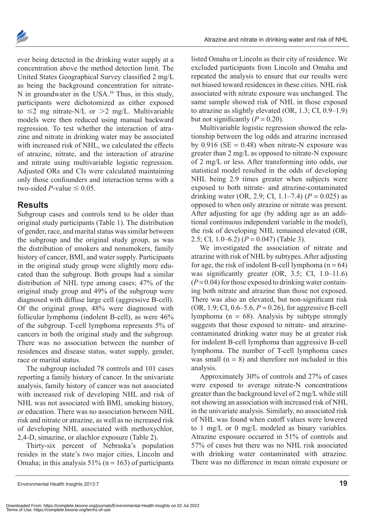

ever being detected in the drinking water supply at a concentration above the method detection limit. The United States Geographical Survey classified 2 mg/L as being the background concentration for nitrate-N in groundwater in the USA.39 Thus, in this study, participants were dichotomized as either exposed to  $\leq$  mg nitrate-N/L or  $>$  mg/L. Multivariable models were then reduced using manual backward regression. To test whether the interaction of atrazine and nitrate in drinking water may be associated with increased risk of NHL, we calculated the effects of atrazine, nitrate, and the interaction of atrazine and nitrate using multivariable logistic regression. Adjusted ORs and CIs were calculated maintaining only those confounders and interaction terms with a two-sided *P*-value  $\leq 0.05$ .

## **Results**

Subgroup cases and controls tend to be older than original study participants (Table 1). The distribution of gender, race, and marital status was similar between the subgroup and the original study group, as was the distribution of smokers and nonsmokers, family history of cancer, BMI, and water supply. Participants in the original study group were slightly more educated than the subgroup. Both groups had a similar distribution of NHL type among cases; 47% of the original study group and 49% of the subgroup were diagnosed with diffuse large cell (aggressive B-cell). Of the original group, 48% were diagnosed with follicular lymphoma (indolent B-cell), as were 46% of the subgroup. T-cell lymphoma represents 5% of cancers in both the original study and the subgroup. There was no association between the number of residences and disease status, water supply, gender, race or marital status.

The subgroup included 78 controls and 101 cases reporting a family history of cancer. In the univariate analysis, family history of cancer was not associated with increased risk of developing NHL and risk of NHL was not associated with BMI, smoking history, or education. There was no association between NHL risk and nitrate or atrazine, as well as no increased risk of developing NHL associated with methoxychlor, 2,4-D, simazine, or alachlor exposure (Table 2).

Thirty-six percent of Nebraska's population resides in the state's two major cities, Lincoln and Omaha; in this analysis  $51\%$  (n = 163) of participants

listed Omaha or Lincoln as their city of residence. We excluded participants from Lincoln and Omaha and repeated the analysis to ensure that our results were not biased toward residences in these cities. NHL risk associated with nitrate exposure was unchanged. The same sample showed risk of NHL in those exposed to atrazine as slightly elevated (OR, 1.3; CI, 0.9–1.9) but not significantly  $(P = 0.20)$ .

Multivariable logistic regression showed the relationship between the log odds and atrazine increased by  $0.916$  (SE = 0.48) when nitrate-N exposure was greater than 2 mg/L as opposed to nitrate-N exposure of 2 mg/L or less. After transforming into odds, our statistical model resulted in the odds of developing NHL being 2.9 times greater when subjects were exposed to both nitrate- and atrazine-contaminated drinking water (OR, 2.9; CI, 1.1–7.4) (*P* = 0.025) as opposed to when only atrazine or nitrate was present. After adjusting for age (by adding age as an additional continuous independent variable in the model), the risk of developing NHL remained elevated (OR, 2.5; CI, 1.0–6.2) (*P* = 0.047) (Table 3).

We investigated the association of nitrate and atrazine with risk of NHL by subtypes. After adjusting for age, the risk of indolent B-cell lymphoma ( $n = 64$ ) was significantly greater (OR, 3.5; CI, 1.0–11.6)  $(P=0.04)$  for those exposed to drinking water containing both nitrate and atrazine than those not exposed. There was also an elevated, but non-significant risk (OR, 1.9; CI, 0.6–5.6, *P* = 0.26), for aggressive B-cell lymphoma ( $n = 68$ ). Analysis by subtype strongly suggests that those exposed to nitrate- and atrazinecontaminated drinking water may be at greater risk for indolent B-cell lymphoma than aggressive B-cell lymphoma. The number of T-cell lymphoma cases was small  $(n = 8)$  and therefore not included in this analysis.

Approximately 30% of controls and 27% of cases were exposed to average nitrate-N concentrations greater than the background level of 2 mg/L while still not showing an association with increased risk of NHL in the univariate analysis. Similarly, no associated risk of NHL was found when cutoff values were lowered to 1 mg/L or 0 mg/L modeled as binary variables. Atrazine exposure occurred in 51% of controls and 57% of cases but there was no NHL risk associated with drinking water contaminated with atrazine. There was no difference in mean nitrate exposure or

Downloaded From: https://complete.bioone.org/journals/Environmental-Health-Insights on 02 Jul 2022 Terms of Use: https://complete.bioone.org/terms-of-use

Environmental Health Insights 2013:<sup>7</sup> **19**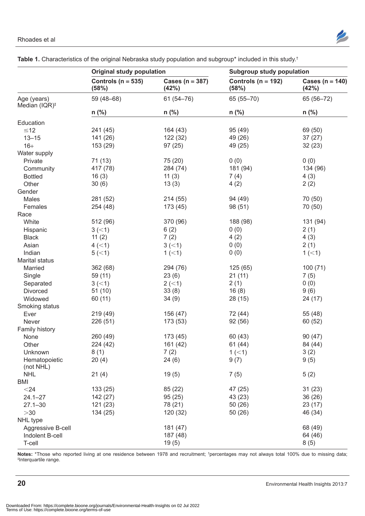#### Rhoades et al



Table 1. Characteristics of the original Nebraska study population and subgroup\* included in this study.<sup>†</sup>

|                                          | <b>Original study population</b> |                              | <b>Subgroup study population</b> |                              |
|------------------------------------------|----------------------------------|------------------------------|----------------------------------|------------------------------|
|                                          | Controls ( $n = 535$ )<br>(58%)  | Cases ( $n = 387$ )<br>(42%) | Controls ( $n = 192$ )<br>(58%)  | Cases ( $n = 140$ )<br>(42%) |
| Age (years)<br>Median (IQR) <sup>‡</sup> | 59 (48-68)                       | $61(54 - 76)$                | 65 (55-70)                       | 65 (56-72)                   |
|                                          | $n$ (%)                          | $n$ (%)                      | $n$ (%)                          | $n$ (%)                      |
| Education                                |                                  |                              |                                  |                              |
| $\leq 12$                                | 241 (45)                         | 164 (43)                     | 95 (49)                          | 69 (50)                      |
| $13 - 15$                                | 141 (26)                         | 122 (32)                     | 49 (26)                          | 37(27)                       |
| $16+$                                    | 153 (29)                         | 97(25)                       | 49 (25)                          | 32(23)                       |
| Water supply                             |                                  |                              |                                  |                              |
| Private                                  | 71 (13)                          | 75 (20)                      | 0(0)                             | 0(0)                         |
| Community                                | 417 (78)                         | 284 (74)                     | 181 (94)                         | 134 (96)                     |
| <b>Bottled</b>                           | 16(3)                            | 11(3)                        | 7(4)                             | 4(3)                         |
| Other                                    | 30(6)                            | 13(3)                        | 4(2)                             | 2(2)                         |
| Gender                                   |                                  |                              |                                  |                              |
| Males                                    | 281 (52)                         | 214 (55)                     | 94 (49)                          | 70 (50)                      |
| Females                                  | 254 (48)                         | 173 (45)                     | 98 (51)                          | 70 (50)                      |
| Race                                     |                                  |                              |                                  |                              |
| White                                    | 512 (96)                         | 370 (96)                     | 188 (98)                         | 131 (94)                     |
| Hispanic                                 |                                  | 6(2)                         | 0(0)                             | 2(1)                         |
| <b>Black</b>                             | $3 (-1)$<br>11 $(2)$             | 7(2)                         | 4(2)                             | 4(3)                         |
| Asian                                    |                                  |                              | 0(0)                             | 2(1)                         |
| Indian                                   | 4 (< 1)                          | $3 (-1)$                     |                                  |                              |
| Marital status                           | 5 (< 1)                          | 1 (< 1)                      | 0(0)                             | 1 (< 1)                      |
|                                          | 362 (68)                         |                              |                                  |                              |
| Married                                  |                                  | 294 (76)                     | 125(65)                          | 100(71)                      |
| Single                                   | 59 (11)                          | 23(6)                        | 21(11)                           | 7(5)                         |
| Separated                                | $3 (-1)$                         | $2 (-1)$                     | 2(1)                             | 0(0)                         |
| Divorced                                 | 51(10)                           | 33(8)                        | 16(8)                            | 9(6)                         |
| Widowed                                  | 60(11)                           | 34(9)                        | 28 (15)                          | 24 (17)                      |
| Smoking status                           |                                  |                              |                                  |                              |
| Ever                                     | 219 (49)                         | 156 (47)                     | 72 (44)                          | 55 (48)                      |
| Never                                    | 226 (51)                         | 173 (53)                     | 92 (56)                          | 60 (52)                      |
| Family history                           |                                  |                              |                                  |                              |
| None                                     | 260 (49)                         | 173 (45)                     | 60 (43)                          | 90(47)                       |
| Other                                    | 224 (42)                         | 161 (42)                     | 61(44)                           | 84 (44)                      |
| Unknown                                  | 8(1)                             | 7(2)                         | 1 (< 1)                          | 3(2)                         |
| Hematopoietic<br>(not NHL)               | 20(4)                            | 24(6)                        | 9(7)                             | 9(5)                         |
| <b>NHL</b>                               | 21(4)                            | 19(5)                        | 7(5)                             | 5(2)                         |
| <b>BMI</b>                               |                                  |                              |                                  |                              |
| $<$ 24                                   | 133(25)                          | 85 (22)                      | 47 (25)                          | 31(23)                       |
| $24.1 - 27$                              | 142 (27)                         | 95(25)                       | 43 (23)                          | 36 (26)                      |
| $27.1 - 30$                              | 121 (23)                         | 78 (21)                      | 50(26)                           | 23 (17)                      |
| $>\!\!30$                                | 134 (25)                         | 120 (32)                     | 50(26)                           | 46 (34)                      |
| NHL type                                 |                                  |                              |                                  |                              |
| Aggressive B-cell                        |                                  | 181 (47)                     |                                  | 68 (49)                      |
| Indolent B-cell                          |                                  | 187 (48)                     |                                  | 64 (46)                      |
| T-cell                                   |                                  | 19(5)                        |                                  | 8(5)                         |

Notes: \*Those who reported living at one residence between 1978 and recruitment; <sup>†</sup>percentages may not always total 100% due to missing data;<br>‡Interquartile range Interquartile range.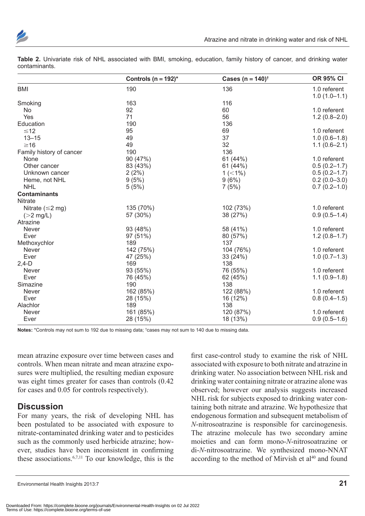

|                          | Controls ( $n = 192$ )* | Cases ( $n = 140$ ) <sup>†</sup> | <b>OR 95% CI</b>               |  |
|--------------------------|-------------------------|----------------------------------|--------------------------------|--|
| <b>BMI</b>               | 190                     | 136                              | 1.0 referent<br>$1.0(1.0-1.1)$ |  |
| Smoking                  | 163                     | 116                              |                                |  |
| <b>No</b>                | 92                      | 60                               | 1.0 referent                   |  |
| Yes                      | 71                      | 56                               | $1.2(0.8-2.0)$                 |  |
| Education                | 190                     | 136                              |                                |  |
| $\leq 12$                | 95                      | 69                               | 1.0 referent                   |  |
| $13 - 15$                | 49                      | 37                               | $1.0(0.6-1.8)$                 |  |
| $\geq 16$                | 49                      | 32                               | $1.1(0.6-2.1)$                 |  |
| Family history of cancer | 190                     | 136                              |                                |  |
| None                     | 90 (47%)                | 61 (44%)                         | 1.0 referent                   |  |
| Other cancer             | 83 (43%)                | 61(44%)                          | $0.5(0.2 - 1.7)$               |  |
| Unknown cancer           | 2(2%)                   | $1 (< 1\%)$                      | $0.5(0.2 - 1.7)$               |  |
| Heme, not NHL            | 9(5%)                   | 9(6%)                            | $0.2(0.0-3.0)$                 |  |
| <b>NHL</b>               | 5(5%)                   | 7(5%)                            | $0.7(0.2 - 1.0)$               |  |
| <b>Contaminants</b>      |                         |                                  |                                |  |
| <b>Nitrate</b>           |                         |                                  |                                |  |
| Nitrate $(\leq 2$ mg)    | 135 (70%)               | 102 (73%)                        | 1.0 referent                   |  |
| $(>2$ mg/L)              | 57 (30%)                | 38 (27%)                         | $0.9(0.5-1.4)$                 |  |
| Atrazine                 |                         |                                  |                                |  |
| Never                    | 93 (48%)                | 58 (41%)                         | 1.0 referent                   |  |
| Ever                     | 97 (51%)                | 80 (57%)                         | $1.2(0.8-1.7)$                 |  |
| Methoxychlor             | 189                     | 137                              |                                |  |
| <b>Never</b>             | 142 (75%)               | 104 (76%)                        | 1.0 referent                   |  |
| Ever                     | 47 (25%)                | 33 (24%)                         | $1.0(0.7-1.3)$                 |  |
| $2,4-D$                  | 169                     | 138                              |                                |  |
| <b>Never</b>             | 93 (55%)                | 76 (55%)                         | 1.0 referent                   |  |
| Ever                     | 76 (45%)                | 62 (45%)                         | $1.1(0.9-1.8)$                 |  |
| Simazine                 | 190                     | 138                              |                                |  |
| Never                    | 162 (85%)               | 122 (88%)                        | 1.0 referent                   |  |
| Ever                     | 28 (15%)                | 16 (12%)                         | $0.8(0.4-1.5)$                 |  |
| Alachlor                 | 189                     | 138                              |                                |  |
| <b>Never</b>             | 161 (85%)               | 120 (87%)                        | 1.0 referent                   |  |
| Ever                     | 28 (15%)                | 18 (13%)                         | $0.9(0.5-1.6)$                 |  |

**Table 2.** Univariate risk of nHL associated with BMI, smoking, education, family history of cancer, and drinking water contaminants.

Notes: \*Controls may not sum to 192 due to missing data; <sup>†</sup>cases may not sum to 140 due to missing data.

mean atrazine exposure over time between cases and controls. When mean nitrate and mean atrazine exposures were multiplied, the resulting median exposure was eight times greater for cases than controls (0.42 for cases and 0.05 for controls respectively).

## **Discussion**

For many years, the risk of developing NHL has been postulated to be associated with exposure to nitrate-contaminated drinking water and to pesticides such as the commonly used herbicide atrazine; however, studies have been inconsistent in confirming these associations. $6,7,11$  To our knowledge, this is the first case-control study to examine the risk of NHL associated with exposure to both nitrate and atrazine in drinking water. No association between NHL risk and drinking water containing nitrate or atrazine alone was observed; however our analysis suggests increased NHL risk for subjects exposed to drinking water containing both nitrate and atrazine. We hypothesize that endogenous formation and subsequent metabolism of *N*-nitrosoatrazine is responsible for carcinogenesis. The atrazine molecule has two secondary amine moieties and can form mono-*N*-nitrosoatrazine or di-*N*-nitrosoatrazine. We synthesized mono-NNAT according to the method of Mirvish et  $al<sup>40</sup>$  and found

Downloaded From: https://complete.bioone.org/journals/Environmental-Health-Insights on 02 Jul 2022 Terms of Use: https://complete.bioone.org/terms-of-use

Environmental Health Insights 2013:<sup>7</sup> **21**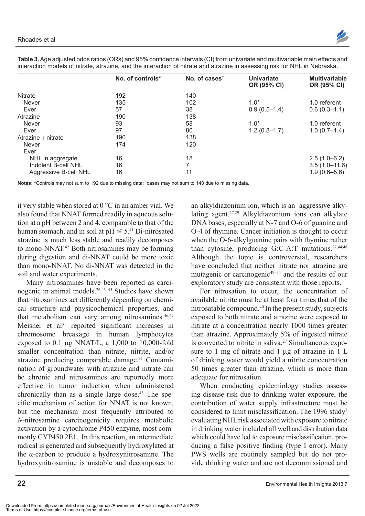

|                       | No. of controls* | No. of cases <sup>t</sup> | <b>Univariate</b><br>OR (95% CI) | <b>Multivariable</b><br>OR (95% CI) |
|-----------------------|------------------|---------------------------|----------------------------------|-------------------------------------|
| <b>Nitrate</b>        | 192              | 140                       |                                  |                                     |
| <b>Never</b>          | 135              | 102                       | $1.0*$                           | 1.0 referent                        |
| Ever                  | 57               | 38                        | $0.9(0.5-1.4)$                   | $0.6(0.3-1.1)$                      |
| Atrazine              | 190              | 138                       |                                  |                                     |
| <b>Never</b>          | 93               | 58                        | $1.0*$                           | 1.0 referent                        |
| Ever                  | 97               | 80                        | $1.2(0.8-1.7)$                   | $1.0(0.7-1.4)$                      |
| Atrazine $+$ nitrate  | 190              | 138                       |                                  |                                     |
| <b>Never</b>          | 174              | 120                       |                                  |                                     |
| Ever                  |                  |                           |                                  |                                     |
| NHL in aggregate      | 16               | 18                        |                                  | $2.5(1.0-6.2)$                      |
| Indolent B-cell NHL   | 16               | 7                         |                                  | $3.5(1.0-11.6)$                     |
| Aggressive B-cell NHL | 16               | 11                        |                                  | $1.9(0.6 - 5.6)$                    |

**Table 3.** Age adjusted odds ratios (ORs) and 95% confidence intervals (CI) from univariate and multivariable main effects and interaction models of nitrate, atrazine, and the interaction of nitrate and atrazine in assessing risk for nHL in nebraska.

Notes: \*Controls may not sum to 192 due to missing data; <sup>†</sup>cases may not sum to 140 due to missing data.

it very stable when stored at 0 °C in an amber vial. We also found that NNAT formed readily in aqueous solution at a pH between 2 and 4, comparable to that of the human stomach, and in soil at  $pH \leq 5^{41}$  Di-nitrosated atrazine is much less stable and readily decomposes to mono-NNAT.<sup>42</sup> Both nitrosamines may be forming during digestion and di-NNAT could be more toxic than mono-NNAT. No di-NNAT was detected in the soil and water experiments.

Many nitrosamines have been reported as carcinogenic in animal models.26,43–45 Studies have shown that nitrosamines act differently depending on chemical structure and physicochemical properties, and that metabolism can vary among nitrosamines. $46,47$ Meisner et  $a^{31}$  reported significant increases in chromosome breakage in human lymphocytes exposed to 0.1 µg NNAT/L, a 1,000 to 10,000-fold smaller concentration than nitrate, nitrite, and/or atrazine producing comparable damage.31 Contamination of groundwater with atrazine and nitrate can be chronic and nitrosamines are reportedly more effective in tumor induction when administered chronically than as a single large dose.<sup>43</sup> The specific mechanism of action for NNAT is not known, but the mechanism most frequently attributed to *N*-nitrosamine carcinogenicity requires metabolic activation by a cytochrome P450 enzyme, most commonly CYP450 2E1. In this reaction, an intermediate radical is generated and subsequently hydroxylated at the α-carbon to produce a hydroxynitrosamine. The hydroxynitrosamine is unstable and decomposes to

an alkyldiazonium ion, which is an aggressive alkylating agent.27,29 Alkyldiazonium ions can alkylate DNA bases, especially at N-7 and O-6 of guanine and O-4 of thymine. Cancer initiation is thought to occur when the O-6-alkylguanine pairs with thymine rather than cytosine, producing  $G:C-A:T$  mutations.<sup>27,44,48</sup> Although the topic is controversial, researchers have concluded that neither nitrate nor atrazine are mutagenic or carcinogenic $49-54$  and the results of our exploratory study are consistent with those reports.

For nitrosation to occur, the concentration of available nitrite must be at least four times that of the nitrosatable compound.40 In the present study, subjects exposed to both nitrate and atrazine were exposed to nitrate at a concentration nearly 1000 times greater than atrazine. Approximately 5% of ingested nitrate is converted to nitrite in saliva.27 Simultaneous exposure to 1 mg of nitrate and 1 µg of atrazine in 1 L of drinking water would yield a nitrite concentration 50 times greater than atrazine, which is more than adequate for nitrosation.

When conducting epidemiology studies assessing disease risk due to drinking water exposure, the contribution of water supply infrastructure must be considered to limit misclassification. The 1996 study<sup>7</sup> evaluating NHL risk associated with exposure to nitrate in drinking water included all well and distribution data which could have led to exposure misclassification, producing a false positive finding (type I error). Many PWS wells are routinely sampled but do not provide drinking water and are not decommissioned and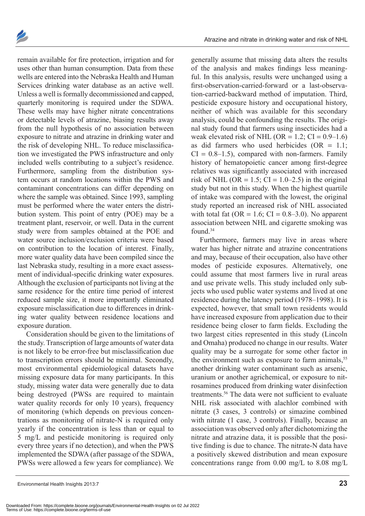

remain available for fire protection, irrigation and for uses other than human consumption. Data from these wells are entered into the Nebraska Health and Human Services drinking water database as an active well. Unless a well is formally decommissioned and capped, quarterly monitoring is required under the SDWA. These wells may have higher nitrate concentrations or detectable levels of atrazine, biasing results away from the null hypothesis of no association between exposure to nitrate and atrazine in drinking water and the risk of developing NHL. To reduce misclassification we investigated the PWS infrastructure and only included wells contributing to a subject's residence. Furthermore, sampling from the distribution system occurs at random locations within the PWS and contaminant concentrations can differ depending on where the sample was obtained. Since 1993, sampling must be performed where the water enters the distribution system. This point of entry (POE) may be a treatment plant, reservoir, or well. Data in the current study were from samples obtained at the POE and water source inclusion/exclusion criteria were based on contribution to the location of interest. Finally, more water quality data have been compiled since the last Nebraska study, resulting in a more exact assessment of individual-specific drinking water exposures. Although the exclusion of participants not living at the same residence for the entire time period of interest reduced sample size, it more importantly eliminated exposure misclassification due to differences in drinking water quality between residence locations and exposure duration.

Consideration should be given to the limitations of the study. Transcription of large amounts of water data is not likely to be error-free but misclassification due to transcription errors should be minimal. Secondly, most environmental epidemiological datasets have missing exposure data for many participants. In this study, missing water data were generally due to data being destroyed (PWSs are required to maintain water quality records for only 10 years), frequency of monitoring (which depends on previous concentrations as monitoring of nitrate-N is required only yearly if the concentration is less than or equal to 5 mg/L and pesticide monitoring is required only every three years if no detection), and when the PWS implemented the SDWA (after passage of the SDWA, PWSs were allowed a few years for compliance). We

generally assume that missing data alters the results of the analysis and makes findings less meaningful. In this analysis, results were unchanged using a first-observation-carried-forward or a last-observation-carried-backward method of imputation. Third, pesticide exposure history and occupational history, neither of which was available for this secondary analysis, could be confounding the results. The original study found that farmers using insecticides had a weak elevated risk of NHL (OR =  $1.2$ ; CI =  $0.9-1.6$ ) as did farmers who used herbicides  $(OR = 1.1)$ ;  $CI = 0.8-1.5$ , compared with non-farmers. Family history of hematopoietic cancer among first-degree relatives was significantly associated with increased risk of NHL (OR = 1.5; CI = 1.0–2.5) in the original study but not in this study. When the highest quartile of intake was compared with the lowest, the original study reported an increased risk of NHL associated with total fat  $(OR = 1.6; CI = 0.8-3.0)$ . No apparent association between NHL and cigarette smoking was found.<sup>34</sup>

Furthermore, farmers may live in areas where water has higher nitrate and atrazine concentrations and may, because of their occupation, also have other modes of pesticide exposures. Alternatively, one could assume that most farmers live in rural areas and use private wells. This study included only subjects who used public water systems and lived at one residence during the latency period (1978–1998). It is expected, however, that small town residents would have increased exposure from application due to their residence being closer to farm fields. Excluding the two largest cities represented in this study (Lincoln and Omaha) produced no change in our results. Water quality may be a surrogate for some other factor in the environment such as exposure to farm animals,<sup>55</sup> another drinking water contaminant such as arsenic, uranium or another agrichemical, or exposure to nitrosamines produced from drinking water disinfection treatments<sup>56</sup> The data were not sufficient to evaluate NHL risk associated with alachlor combined with nitrate (3 cases, 3 controls) or simazine combined with nitrate (1 case, 3 controls). Finally, because an association was observed only after dichotomizing the nitrate and atrazine data, it is possible that the positive finding is due to chance. The nitrate-N data have a positively skewed distribution and mean exposure concentrations range from 0.00 mg/L to 8.08 mg/L

Environmental Health Insights 2013:<sup>7</sup> **23**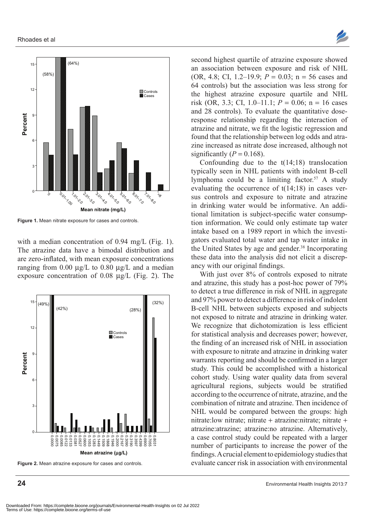



**Figure 1.** Mean nitrate exposure for cases and controls.

with a median concentration of 0.94 mg/L (Fig. 1). The atrazine data have a bimodal distribution and are zero-inflated, with mean exposure concentrations ranging from  $0.00 \mu g/L$  to  $0.80 \mu g/L$  and a median exposure concentration of 0.08 µg/L (Fig. 2). The





64 controls) but the association was less strong for the highest atrazine exposure quartile and NHL risk (OR, 3.3; CI, 1.0–11.1;  $P = 0.06$ ; n = 16 cases and 28 controls). To evaluate the quantitative doseresponse relationship regarding the interaction of atrazine and nitrate, we fit the logistic regression and found that the relationship between log odds and atrazine increased as nitrate dose increased, although not significantly  $(P = 0.168)$ . Confounding due to the  $t(14;18)$  translocation

second highest quartile of atrazine exposure showed an association between exposure and risk of NHL (OR, 4.8; CI, 1.2–19.9; *P* = 0.03; n = 56 cases and

typically seen in NHL patients with indolent B-cell lymphoma could be a limiting factor.<sup>57</sup> A study evaluating the occurrence of t(14;18) in cases versus controls and exposure to nitrate and atrazine in drinking water would be informative. An additional limitation is subject-specific water consumption information. We could only estimate tap water intake based on a 1989 report in which the investigators evaluated total water and tap water intake in the United States by age and gender.<sup>38</sup> Incorporating these data into the analysis did not elicit a discrepancy with our original findings.

With just over 8% of controls exposed to nitrate and atrazine, this study has a post-hoc power of 79% to detect a true difference in risk of NHL in aggregate and 97% power to detect a difference in risk of indolent B-cell NHL between subjects exposed and subjects not exposed to nitrate and atrazine in drinking water. We recognize that dichotomization is less efficient for statistical analysis and decreases power; however, the finding of an increased risk of NHL in association with exposure to nitrate and atrazine in drinking water warrants reporting and should be confirmed in a larger study. This could be accomplished with a historical cohort study. Using water quality data from several agricultural regions, subjects would be stratified according to the occurrence of nitrate, atrazine, and the combination of nitrate and atrazine. Then incidence of NHL would be compared between the groups: high nitrate:low nitrate; nitrate + atrazine:nitrate; nitrate + atrazine:atrazine; atrazine:no atrazine. Alternatively, a case control study could be repeated with a larger number of participants to increase the power of the findings. A crucial element to epidemiology studies that evaluate cancer risk in association with environmental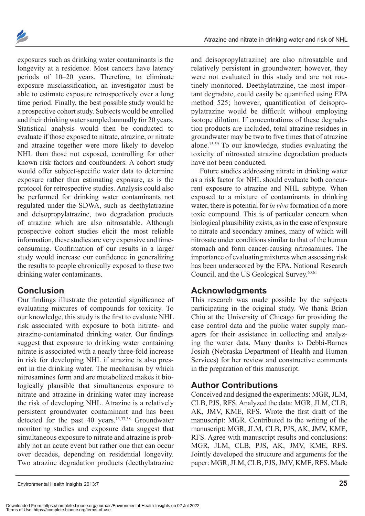

exposures such as drinking water contaminants is the longevity at a residence. Most cancers have latency periods of 10–20 years. Therefore, to eliminate exposure misclassification, an investigator must be able to estimate exposure retrospectively over a long time period. Finally, the best possible study would be a prospective cohort study. Subjects would be enrolled and their drinking water sampled annually for 20 years. Statistical analysis would then be conducted to evaluate if those exposed to nitrate, atrazine, or nitrate and atrazine together were more likely to develop NHL than those not exposed, controlling for other known risk factors and confounders. A cohort study would offer subject-specific water data to determine exposure rather than estimating exposure, as is the protocol for retrospective studies. Analysis could also be performed for drinking water contaminants not regulated under the SDWA, such as deethylatrazine and deisopropylatrazine, two degradation products of atrazine which are also nitrosatable. Although prospective cohort studies elicit the most reliable information, these studies are very expensive and timeconsuming. Confirmation of our results in a larger study would increase our confidence in generalizing the results to people chronically exposed to these two drinking water contaminants.

## **conclusion**

Our findings illustrate the potential significance of evaluating mixtures of compounds for toxicity. To our knowledge, this study is the first to evaluate NHL risk associated with exposure to both nitrate- and atrazine-contaminated drinking water. Our findings suggest that exposure to drinking water containing nitrate is associated with a nearly three-fold increase in risk for developing NHL if atrazine is also present in the drinking water. The mechanism by which nitrosamines form and are metabolized makes it biologically plausible that simultaneous exposure to nitrate and atrazine in drinking water may increase the risk of developing NHL. Atrazine is a relatively persistent groundwater contaminant and has been detected for the past 40 years.13,37,58 Groundwater monitoring studies and exposure data suggest that simultaneous exposure to nitrate and atrazine is probably not an acute event but rather one that can occur over decades, depending on residential longevity. Two atrazine degradation products (deethylatrazine

and deisopropylatrazine) are also nitrosatable and relatively persistent in groundwater; however, they were not evaluated in this study and are not routinely monitored. Deethylatrazine, the most important degradate, could easily be quantified using EPA method 525; however, quantification of deisopropylatrazine would be difficult without employing isotope dilution. If concentrations of these degradation products are included, total atrazine residues in groundwater may be two to five times that of atrazine alone.15,59 To our knowledge, studies evaluating the toxicity of nitrosated atrazine degradation products have not been conducted.

Future studies addressing nitrate in drinking water as a risk factor for NHL should evaluate both concurrent exposure to atrazine and NHL subtype. When exposed to a mixture of contaminants in drinking water, there is potential for *in vivo* formation of a more toxic compound. This is of particular concern when biological plausibility exists, as in the case of exposure to nitrate and secondary amines, many of which will nitrosate under conditions similar to that of the human stomach and form cancer-causing nitrosamines. The importance of evaluating mixtures when assessing risk has been underscored by the EPA, National Research Council, and the US Geological Survey.<sup>60,61</sup>

## **Acknowledgments**

This research was made possible by the subjects participating in the original study. We thank Brian Chiu at the University of Chicago for providing the case control data and the public water supply managers for their assistance in collecting and analyzing the water data. Many thanks to Debbi-Barnes Josiah (Nebraska Department of Health and Human Services) for her review and constructive comments in the preparation of this manuscript.

## **Author contributions**

Conceived and designed the experiments: MGR, JLM, CLB, PJS, RFS. Analyzed the data: MGR, JLM, CLB, AK, JMV, KME, RFS. Wrote the first draft of the manuscript: MGR. Contributed to the writing of the manuscript: MGR, JLM, CLB, PJS, AK, JMV, KME, RFS. Agree with manuscript results and conclusions: MGR, JLM, CLB, PJS, AK, JMV, KME, RFS. Jointly developed the structure and arguments for the paper: MGR, JLM, CLB, PJS, JMV, KME, RFS. Made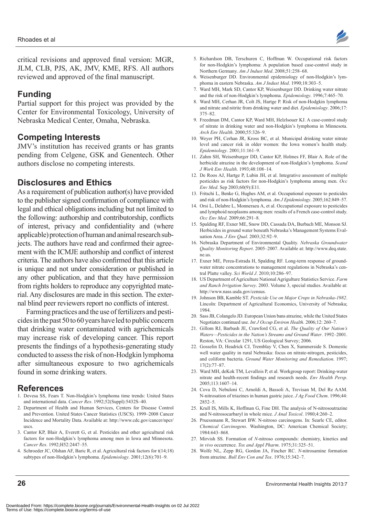critical revisions and approved final version: MGR, JLM, CLB, PJS, AK, JMV, KME, RFS. All authors reviewed and approved of the final manuscript.

#### **Funding**

Partial support for this project was provided by the Center for Environmental Toxicology, University of Nebraska Medical Center, Omaha, Nebraska.

#### **competing Interests**

JMV's institution has received grants or has grants pending from Celgene, GSK and Genentech. Other authors disclose no competing interests.

## **Disclosures and ethics**

As a requirement of publication author(s) have provided to the publisher signed confirmation of compliance with legal and ethical obligations including but not limited to the following: authorship and contributorship, conflicts of interest, privacy and confidentiality and (where applicable) protection of human and animal research subjects. The authors have read and confirmed their agreement with the ICMJE authorship and conflict of interest criteria. The authors have also confirmed that this article is unique and not under consideration or published in any other publication, and that they have permission from rights holders to reproduce any copyrighted material. Any disclosures are made in this section. The external blind peer reviewers report no conflicts of interest.

Farming practices and the use of fertilizers and pesticides in the past 50 to 60 years have led to public concern that drinking water contaminated with agrichemicals may increase risk of developing cancer. This report presents the findings of a hypothesis-generating study conducted to assess the risk of non-Hodgkin lymphoma after simultaneous exposure to two agrichemicals found in some drinking waters.

#### **References**

- 1. Devesa SS, Fears T. Non-Hodgkin's lymphoma time trends: United States and international data. *Cancer Res*. 1992;52(Suppl):5432S–40.
- 2. Department of Health and Human Services, Centers for Disease Control and Prevention. United States Cancer Statistics (USCS). 1999–2008 Cancer Incidence and Mortality Data. Available at: http://[www.cdc.go](http://www.cdc.gov/cancer/npcr/uscs)v/cancer/npcr/ uscs.
- 3. Cantor KP, Blair A, Everett G, et al. Pesticides and other agricultural risk factors for non-Hodgkin's lymphoma among men in Iowa and Minnesota. *Cancer Res*. 1992;H52:2447–55.
- 4. Schroeder JC, Olshan AF, Baric R, et al. Agricultural risk factors for t(14;18) subtypes of non-Hodgkin's lymphoma. *Epidemiology*. 2001;12(6):701–9.



- 5. Richardson DB, Terschuren C, Hoffman W. Occupational risk factors for non-Hodgkin's lymphoma: A population based case-control study in Northern Germany. *Am J Indust Med*. 2008;51:258–68.
- 6. Weisenburger DD. Environmental epidemiology of non-Hodgkin's lymphoma in eastern Nebraska. *Am J Indust Med*. 1990;18:303–5.
- Ward MH, Mark SD, Cantor KP, Weisenburger DD. Drinking water nitrate and the risk of non-Hodgkin's lymphoma. *Epidemiology*. 1996;7:465–70.
- 8. Ward MH, Cerhan JR, Colt JS, Hartge P. Risk of non-Hodgkin lymphoma and nitrate and nitrite from drinking water and diet. *Epidemiology*. 2006;17: 375–82.
- 9. Freedman DM, Cantor KP, Ward MH, Helzlsouer KJ. A case-control study of nitrate in drinking water and non-Hodgkin's lymphoma in Minnesota. *Arch Env Health*. 2000;55:326–9.
- 10. Weyer PH, Cerhan JR, Kross BC, et al. Municipal drinking water nitrate level and cancer risk in older women: the Iowa women's health study. *Epidemiology*. 2001;11:161–9.
- 11. Zahm SH, Weisenburger DD, Cantor KP, Holmes FF, Blair A. Role of the herbicide atrazine in the development of non-Hodgkin's lymphoma. *Scand J Work Env Health*. 1993;48:108–14.
- 12. De Roos AJ, Hartge P, Lubin JH, et al. Integrative assessment of multiple pesticides as risk factors for non-Hodgkin's lymphoma among men. *Occ Env Med*. Sep 2003;60(9):E11.
- 13. Fritschi L, Benke G, Hughes AM, et al. Occupational exposure to pesticides and risk of non-Hodgkin's lymphoma. *Am J Epidemiology*. 2005;162:849–57.
- 14. Orsi L, Delabre L, Monneraeu A, et al. Occupational exposure to pesticides and lymphoid neoplasms among men: results of a French case-control study. *Occ Env Med*. 2009;66:291–8.
- 15. Spalding RF, Exner ME, Snow DD, Cassada DA, Burbach ME, Monson SJ. Herbicides in ground water beneath Nebraska's Management Systems Evaluation Area. *J Env Qual*. 2003;32:92–9.
- 16. Nebraska Department of Environmental Quality. *Nebraska Groundwater Quality Monitoring Report*. 2005–2007. Available at: http://[www.deq.state.](http://www.deq.state.ne.us) [ne.us.](http://www.deq.state.ne.us)
- 17. Exner ME, Perea-Estrada H, Spalding RF. Long-term response of groundwater nitrate concentrations to management regulations in Nebraska's central Platte valley. *Sci World J*. 2010;10:286–97.
- 18. US Department of Agriculture National Agrigulture Statistics Service. *Farm and Ranch Irrigation Survey*. 2003. Volume 3, special studies. Available at: http://[www.nass.usda.go](http://www.nass.usda.gov/census)v/census.
- 19. Johnson BB, Kamble ST. *Pesticide Use on Major Crops in Nebraska-1982*. Lincoln: Department of Agricultural Economics, University of Nebraska; 1984.
- 20. Sass JB, Colangelo JD. European Union bans atrazine, while the United States Negotiates continued use. *Int J Occup Environ Health*. 2006;12: 260–7.
- 21. Gillom RJ, Barbash JE, Crawford CG, et al. *The Quality of Our Nation's Waters—Pesticides in the Nation's Streams and Ground Water*. 1992*–*2001. Reston, VA: Circular 1291, US Geological Survey; 2006.
- 22. Gosselin D, Headrick CJ, Tremblay V, Chen X, Summerside S. Domestic well water quality in rural Nebraska: focus on nitrate-nitrogen, pesticides, and coliform bacteria. *Ground Water Monitoring and Remediation*. 1997;  $17(2)$ : 77–87.
- 23. Ward MH, deKok TM, Levallois P, et al. Workgroup report: Drinking-water nitrate and health-recent findings and research needs. *Env Health Persp*. 2005;113:1607–14.
- 24. Cova D, Nebuloni C, Arnoldi A, Bassoli A, Trevisan M, Del Re AAM. N-nitrosation of triazines in human gastric juice. *J Ag Food Chem*. 1996;44: 2852–5.
- 25. Krull IS, Mills K, Hoffman G, Fine DH. The analysis of N-nitrosoatrazine and N-nitrosocarbaryl in whole mice. *J Anal Toxicol*. 1980;4:260–2.
- 26. Pruessmann R, Stewart BW. N-nitroso carcinogens. In: Searle CE, editor. *Chemical Carcinogens*. Washington, DC: American Chemical Society; 1984:643–868.
- 27. Mirvish SS. Formation of *N*-nitroso compounds: chemistry, kinetics and *in vivo* occurrence. *Tox and Appl Pharm*. 1975;31:325–51.
- 28. Wolfe NL, Zepp RG, Gordon JA, Fincher RC. *N*-nitrosamine formation from atrazine. *Bull Env Con and Tox*. 1976;15:342–7.